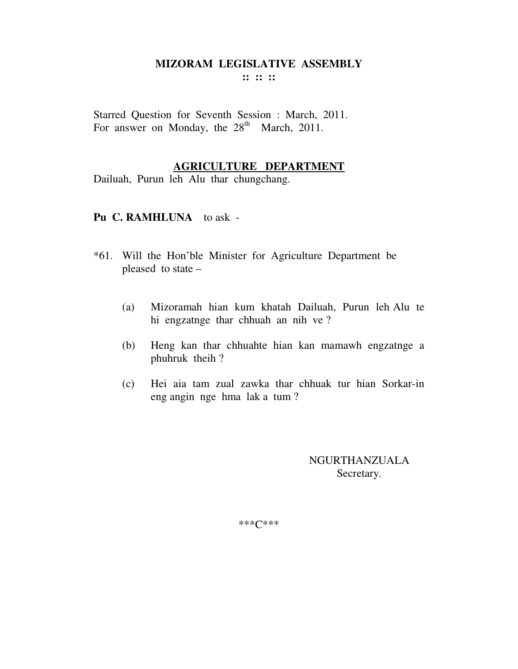## **MIZORAM LEGISLATIVE ASSEMBLY**

**:: :: ::** 

Starred Question for Seventh Session : March, 2011. For answer on Monday, the  $28<sup>th</sup>$  March, 2011.

#### **AGRICULTURE DEPARTMENT**

Dailuah, Purun leh Alu thar chungchang.

#### **Pu C. RAMHLUNA** to ask -

- \*61. Will the Hon'ble Minister for Agriculture Department be pleased to state –
	- (a) Mizoramah hian kum khatah Dailuah, Purun leh Alu te hi engzatnge thar chhuah an nih ve ?
	- (b) Heng kan thar chhuahte hian kan mamawh engzatnge a phuhruk theih ?
	- (c) Hei aia tam zual zawka thar chhuak tur hian Sorkar-in eng angin nge hma lak a tum ?

NGURTHANZUALA Secretary.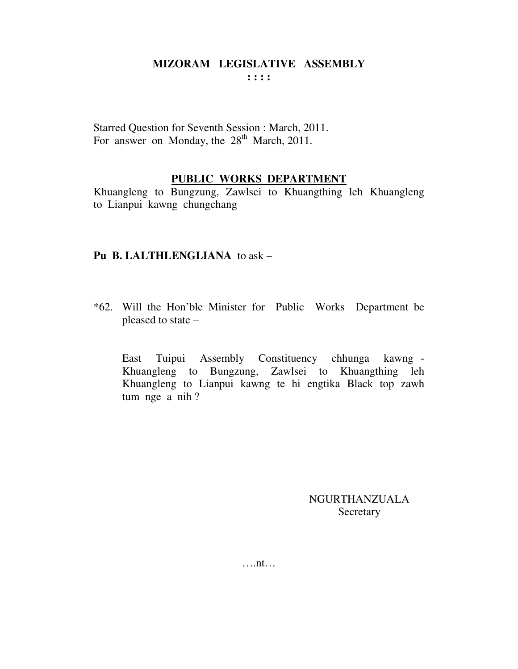Starred Question for Seventh Session : March, 2011. For answer on Monday, the 28<sup>th</sup> March, 2011.

#### **PUBLIC WORKS DEPARTMENT**

Khuangleng to Bungzung, Zawlsei to Khuangthing leh Khuangleng to Lianpui kawng chungchang

#### **Pu B. LALTHLENGLIANA** to ask –

\*62. Will the Hon'ble Minister for Public Works Department be pleased to state –

 East Tuipui Assembly Constituency chhunga kawng - Khuangleng to Bungzung, Zawlsei to Khuangthing leh Khuangleng to Lianpui kawng te hi engtika Black top zawh tum nge a nih ?

> NGURTHANZUALA Secretary

….nt…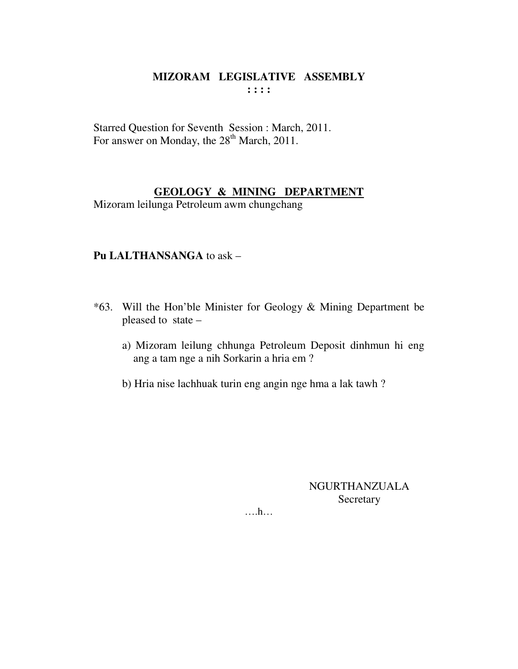Starred Question for Seventh Session : March, 2011. For answer on Monday, the 28<sup>th</sup> March, 2011.

# **GEOLOGY & MINING DEPARTMENT**

Mizoram leilunga Petroleum awm chungchang

# **Pu LALTHANSANGA** to ask –

- \*63. Will the Hon'ble Minister for Geology & Mining Department be pleased to state –
	- a) Mizoram leilung chhunga Petroleum Deposit dinhmun hi eng ang a tam nge a nih Sorkarin a hria em ?
	- b) Hria nise lachhuak turin eng angin nge hma a lak tawh ?

# NGURTHANZUALA Secretary

….h…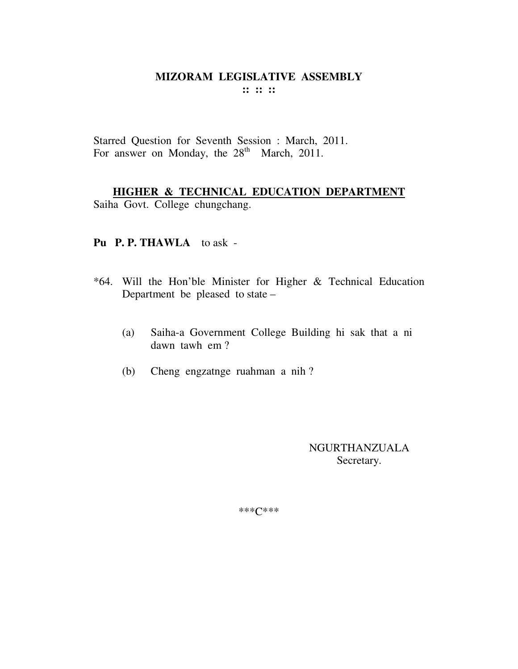Starred Question for Seventh Session : March, 2011. For answer on Monday, the 28<sup>th</sup> March, 2011.

HIGHER & TECHNICAL EDUCATION DEPARTMENT

Saiha Govt. College chungchang.

### Pu P.P. THAWLA to ask -

- \*64. Will the Hon'ble Minister for Higher & Technical Education Department be pleased to state -
	- Saiha-a Government College Building hi sak that a ni (a) dawn tawh em?
	- Cheng engzatnge ruahman a nih?  $(b)$

**NGURTHANZUALA** Secretary.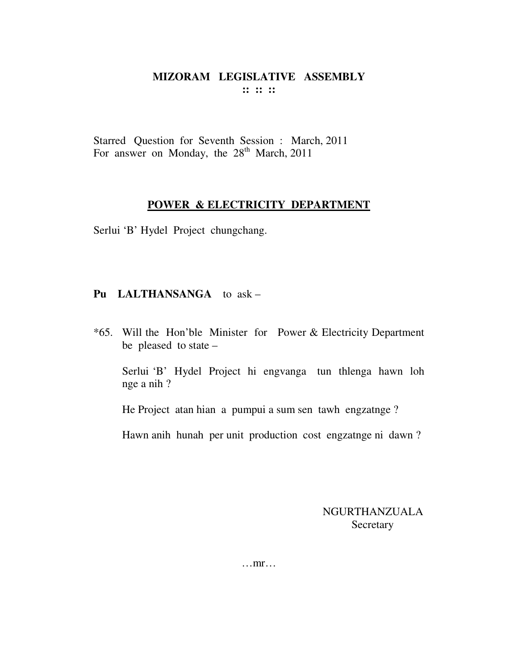Starred Question for Seventh Session : March, 2011 For answer on Monday, the  $28<sup>th</sup>$  March, 2011

#### **POWER & ELECTRICITY DEPARTMENT**

Serlui 'B' Hydel Project chungchang.

# **Pu LALTHANSANGA** to ask –

\*65. Will the Hon'ble Minister for Power & Electricity Department be pleased to state –

Serlui 'B' Hydel Project hi engvanga tun thlenga hawn loh nge a nih ?

He Project atan hian a pumpui a sum sen tawh engzatnge ?

Hawn anih hunah per unit production cost engzatnge ni dawn ?

NGURTHANZUALA Secretary

…mr…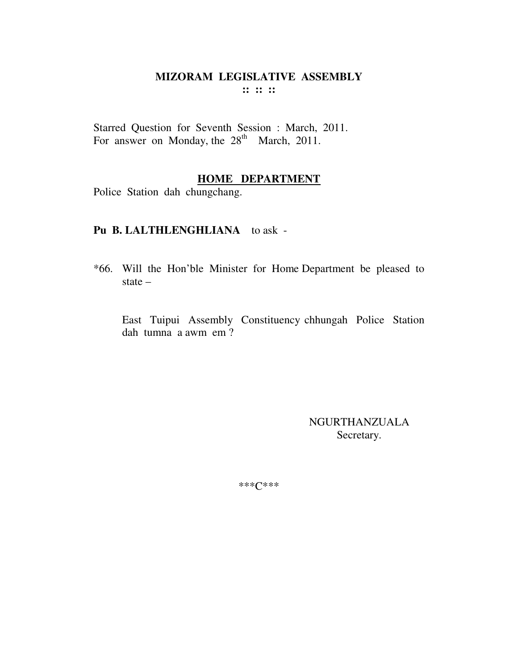Starred Question for Seventh Session : March, 2011. For answer on Monday, the 28<sup>th</sup> March, 2011.

#### **HOME DEPARTMENT**

Police Station dah chungchang.

#### **Pu B. LALTHLENGHLIANA** to ask -

\*66. Will the Hon'ble Minister for Home Department be pleased to state –

East Tuipui Assembly Constituency chhungah Police Station dah tumna a awm em ?

> NGURTHANZUALA Secretary.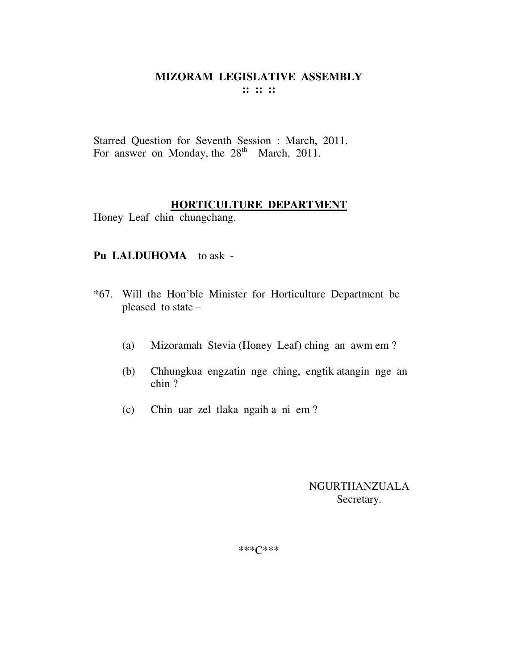Starred Question for Seventh Session : March, 2011. For answer on Monday, the  $28<sup>th</sup>$  March, 2011.

#### **HORTICULTURE DEPARTMENT**

Honey Leaf chin chungchang.

### **Pu LALDUHOMA** to ask -

- \*67. Will the Hon'ble Minister for Horticulture Department be pleased to state –
	- (a) Mizoramah Stevia (Honey Leaf) ching an awm em ?
	- (b) Chhungkua engzatin nge ching, engtik atangin nge an chin ?
	- (c) Chin uar zel tlaka ngaih a ni em ?

# NGURTHANZUALA Secretary.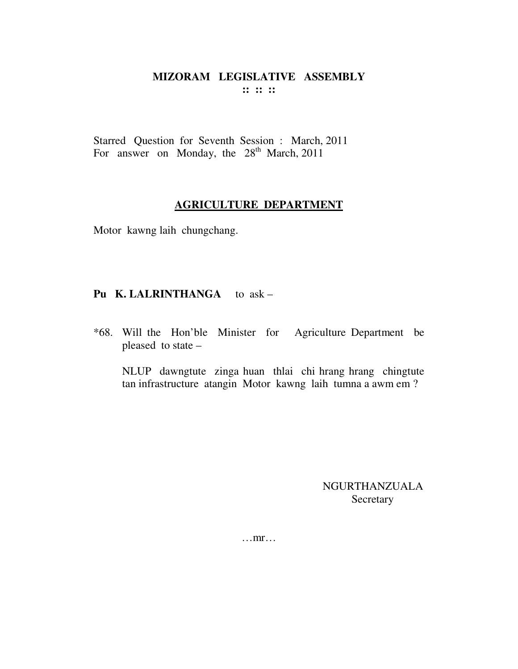Starred Question for Seventh Session : March, 2011 For answer on Monday, the  $28<sup>th</sup>$  March, 2011

#### **AGRICULTURE DEPARTMENT**

Motor kawng laih chungchang.

# **Pu K. LALRINTHANGA** to ask –

\*68. Will the Hon'ble Minister for Agriculture Department be pleased to state –

 NLUP dawngtute zinga huan thlai chi hrang hrang chingtute tan infrastructure atangin Motor kawng laih tumna a awm em ?

> NGURTHANZUALA Secretary

…mr…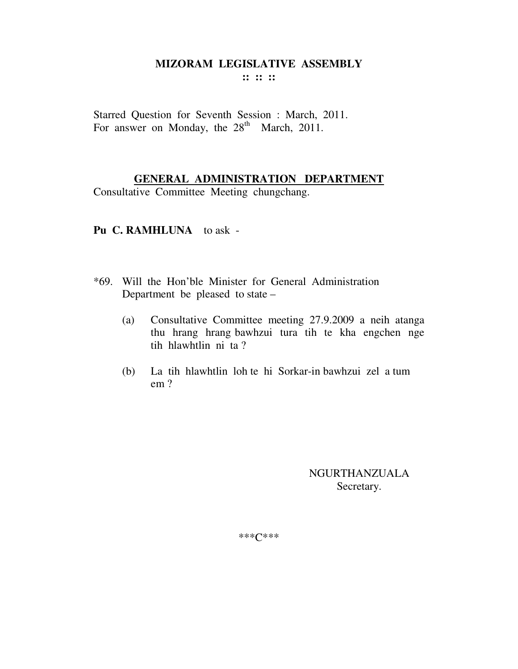# **MIZORAM LEGISLATIVE ASSEMBLY**

**:: :: ::** 

Starred Question for Seventh Session : March, 2011. For answer on Monday, the  $28<sup>th</sup>$  March, 2011.

#### **GENERAL ADMINISTRATION DEPARTMENT**

Consultative Committee Meeting chungchang.

#### **Pu C. RAMHLUNA** to ask -

- \*69. Will the Hon'ble Minister for General Administration Department be pleased to state –
	- (a) Consultative Committee meeting 27.9.2009 a neih atanga thu hrang hrang bawhzui tura tih te kha engchen nge tih hlawhtlin ni ta ?
	- (b) La tih hlawhtlin loh te hi Sorkar-in bawhzui zel a tum em ?

NGURTHANZUALA Secretary.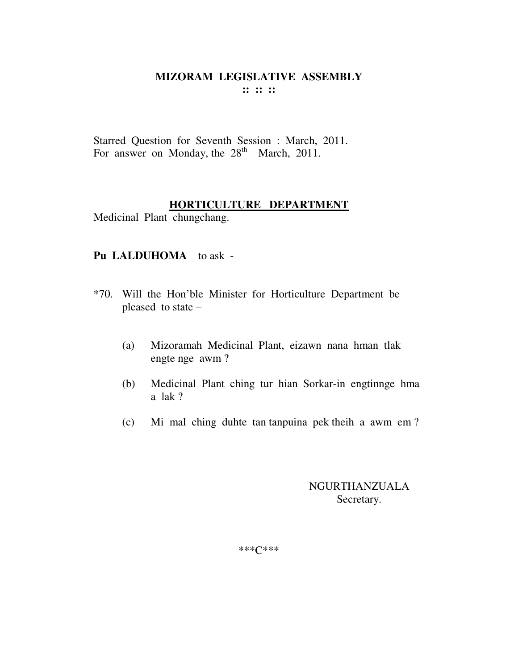Starred Question for Seventh Session : March, 2011. For answer on Monday, the  $28<sup>th</sup>$  March, 2011.

### **HORTICULTURE DEPARTMENT**

Medicinal Plant chungchang.

#### **Pu LALDUHOMA** to ask -

- \*70. Will the Hon'ble Minister for Horticulture Department be pleased to state –
	- (a) Mizoramah Medicinal Plant, eizawn nana hman tlak engte nge awm ?
	- (b) Medicinal Plant ching tur hian Sorkar-in engtinnge hma a lak ?
	- (c) Mi mal ching duhte tan tanpuina pek theih a awm em ?

# NGURTHANZUALA Secretary.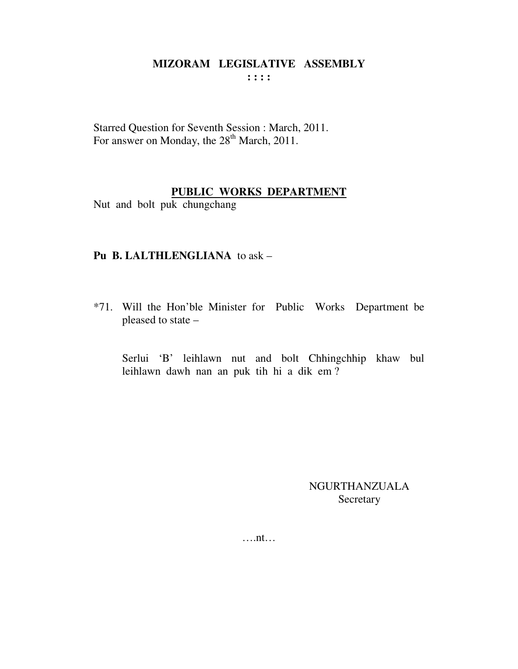Starred Question for Seventh Session : March, 2011. For answer on Monday, the 28<sup>th</sup> March, 2011.

# PUBLIC WORKS DEPARTMENT

Nut and bolt puk chungchang

### Pu B. LALTHLENGLIANA to ask -

\*71. Will the Hon'ble Minister for Public Works Department be pleased to state -

Serlui 'B' leihlawn nut and bolt Chhingchhip khaw bul leihlawn dawh nan an puk tih hi a dik em?

> **NGURTHANZUALA** Secretary

 $\dots$ nt $\dots$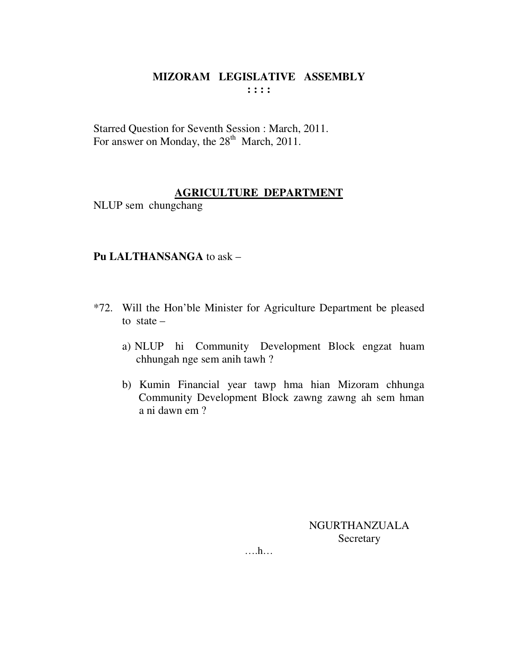Starred Question for Seventh Session : March, 2011. For answer on Monday, the 28<sup>th</sup> March, 2011.

#### **AGRICULTURE DEPARTMENT**

NLUP sem chungchang

# Pu LALTHANSANGA to ask -

- \*72. Will the Hon'ble Minister for Agriculture Department be pleased to state  $$ 
	- a) NLUP hi Community Development Block engzat huam chhungah nge sem anih tawh?
	- b) Kumin Financial year tawp hma hian Mizoram chhunga Community Development Block zawng zawng ah sem hman a ni dawn em ?

**NGURTHANZUALA** Secretary

 $\dots h\dots$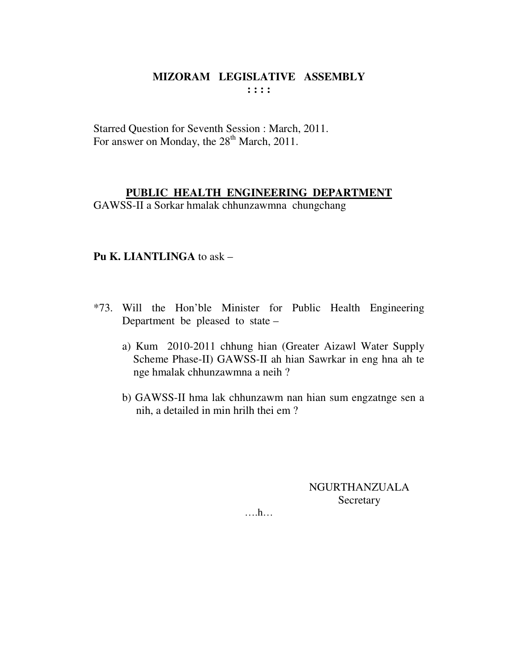Starred Question for Seventh Session : March, 2011. For answer on Monday, the 28<sup>th</sup> March, 2011.

#### **PUBLIC HEALTH ENGINEERING DEPARTMENT**

GAWSS-II a Sorkar hmalak chhunzawmna chungchang

# **Pu K. LIANTLINGA** to ask –

- \*73. Will the Hon'ble Minister for Public Health Engineering Department be pleased to state –
	- a) Kum 2010-2011 chhung hian (Greater Aizawl Water Supply Scheme Phase-II) GAWSS-II ah hian Sawrkar in eng hna ah te nge hmalak chhunzawmna a neih ?
	- b) GAWSS-II hma lak chhunzawm nan hian sum engzatnge sen a nih, a detailed in min hrilh thei em ?

NGURTHANZUALA Secretary

….h…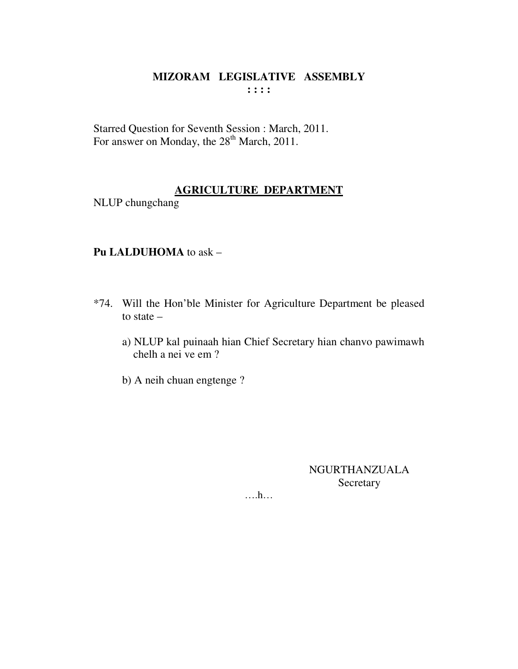Starred Question for Seventh Session : March, 2011. For answer on Monday, the 28<sup>th</sup> March, 2011.

# **AGRICULTURE DEPARTMENT**

NLUP chungchang

# Pu LALDUHOMA to ask -

- \*74. Will the Hon'ble Minister for Agriculture Department be pleased to state  $$ 
	- a) NLUP kal puinaah hian Chief Secretary hian chanvo pawimawh chelh a nei ve em ?
	- b) A neih chuan engtenge ?

**NGURTHANZUALA** Secretary

 $\dots$ ...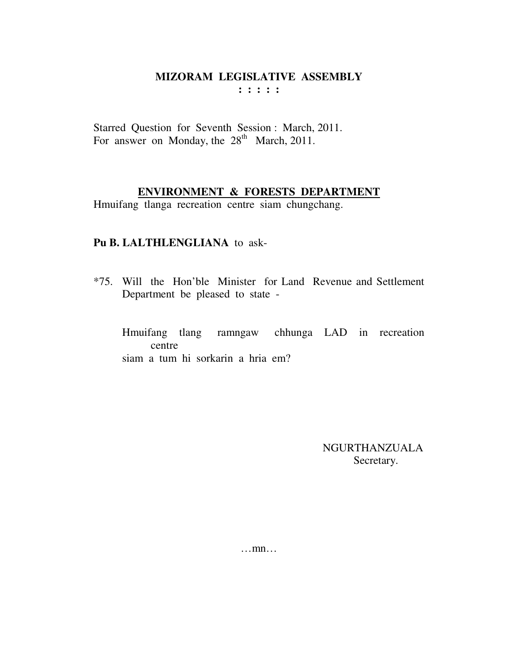Starred Question for Seventh Session : March, 2011. For answer on Monday, the  $28<sup>th</sup>$  March, 2011.

# **ENVIRONMENT & FORESTS DEPARTMENT**

Hmuifang tlanga recreation centre siam chungchang.

# **Pu B. LALTHLENGLIANA** to ask-

\*75. Will the Hon'ble Minister for Land Revenue and Settlement Department be pleased to state -

Hmuifang tlang ramngaw chhunga LAD in recreation centre siam a tum hi sorkarin a hria em?

> NGURTHANZUALA Secretary.

…mn…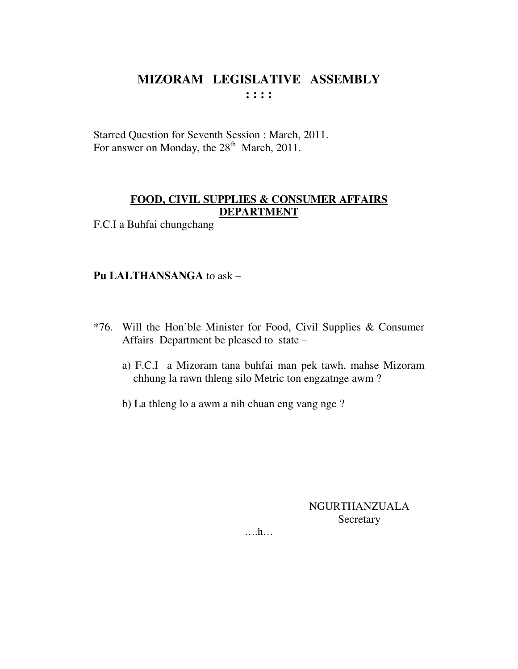Starred Question for Seventh Session : March, 2011. For answer on Monday, the 28<sup>th</sup> March, 2011.

# FOOD, CIVIL SUPPLIES & CONSUMER AFFAIRS **DEPARTMENT**

F.C.I a Buhfai chungchang

# Pu LALTHANSANGA to ask -

- \*76. Will the Hon'ble Minister for Food, Civil Supplies & Consumer Affairs Department be pleased to state –
	- a) F.C.I a Mizoram tana buhfai man pek tawh, mahse Mizoram chhung la rawn thleng silo Metric ton engzatnge awm?
	- b) La thleng lo a awm a nih chuan eng vang nge?

**NGURTHANZUALA** Secretary

 $\dots$   $h...$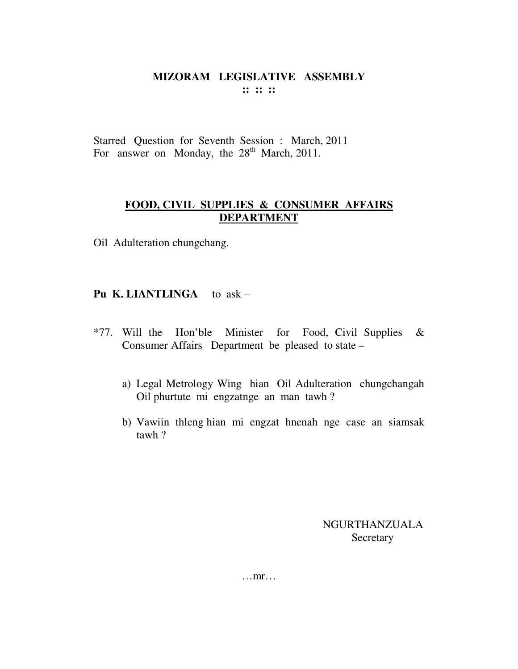Starred Question for Seventh Session : March, 2011 For answer on Monday, the  $28<sup>th</sup>$  March, 2011.

# **FOOD, CIVIL SUPPLIES & CONSUMER AFFAIRS DEPARTMENT**

Oil Adulteration chungchang.

# **Pu K. LIANTLINGA** to ask –

- \*77. Will the Hon'ble Minister for Food, Civil Supplies  $\&$ Consumer Affairs Department be pleased to state –
	- a) Legal Metrology Wing hian Oil Adulteration chungchangah Oil phurtute mi engzatnge an man tawh ?
	- b) Vawiin thleng hian mi engzat hnenah nge case an siamsak tawh ?

NGURTHANZUALA Secretary

…mr…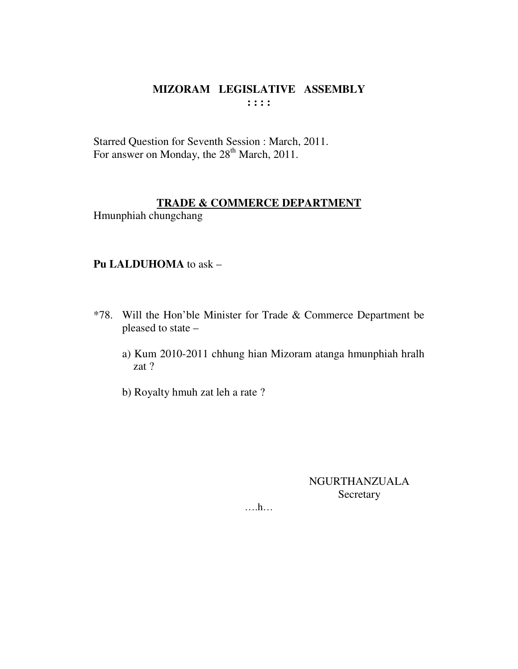# MIZORAM LEGISLATIVE ASSEMBLY  $\cdots$

Starred Question for Seventh Session : March, 2011. For answer on Monday, the 28<sup>th</sup> March, 2011.

### **TRADE & COMMERCE DEPARTMENT**

Hmunphiah chungchang

# Pu LALDUHOMA to ask -

- \*78. Will the Hon'ble Minister for Trade & Commerce Department be pleased to state
	- a) Kum 2010-2011 chhung hian Mizoram atanga hmunphiah hralh zat ?
	- b) Royalty hmuh zat leh a rate?

# **NGURTHANZUALA** Secretary

 $\dots h\dots$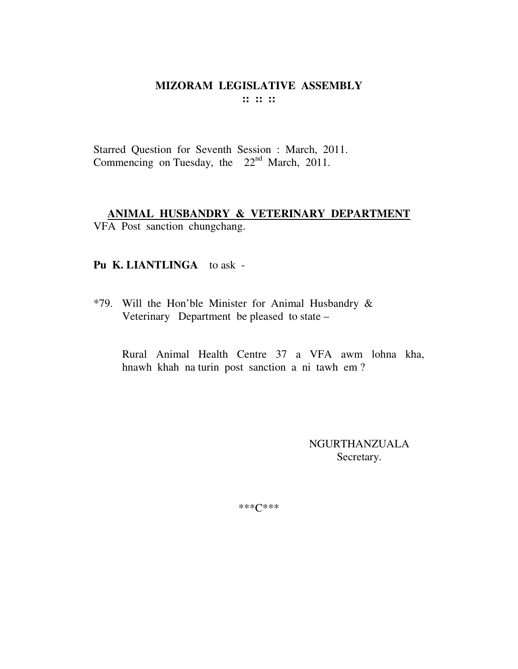#### **MIZORAM LEGISLATIVE ASSEMBLY**  $\mathbf{11} \mathbf{12} \mathbf{13}$

Starred Question for Seventh Session : March, 2011. Commencing on Tuesday, the 22<sup>nd</sup> March, 2011.

# ANIMAL HUSBANDRY & VETERINARY DEPARTMENT VFA Post sanction chungchang.

# Pu K. LIANTLINGA to ask -

\*79. Will the Hon'ble Minister for Animal Husbandry & Veterinary Department be pleased to state –

Rural Animal Health Centre 37 a VFA awm lohna kha, hnawh khah na turin post sanction a ni tawh em?

> **NGURTHANZUALA** Secretary.